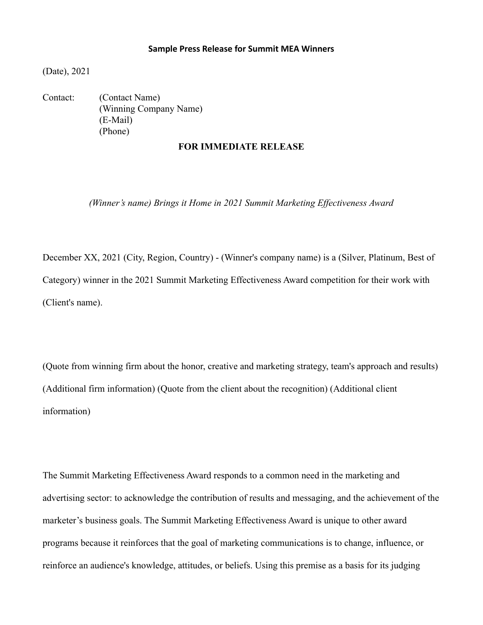## **Sample Press Release for Summit MEA Winners**

(Date), 2021

Contact: (Contact Name) (Winning Company Name) (E-Mail) (Phone)

## **FOR IMMEDIATE RELEASE**

*(Winner's name) Brings it Home in 2021 Summit Marketing Effectiveness Award*

December XX, 2021 (City, Region, Country) - (Winner's company name) is a (Silver, Platinum, Best of Category) winner in the 2021 Summit Marketing Effectiveness Award competition for their work with (Client's name).

(Quote from winning firm about the honor, creative and marketing strategy, team's approach and results) (Additional firm information) (Quote from the client about the recognition) (Additional client information)

The Summit Marketing Effectiveness Award responds to a common need in the marketing and advertising sector: to acknowledge the contribution of results and messaging, and the achievement of the marketer's business goals. The Summit Marketing Effectiveness Award is unique to other award programs because it reinforces that the goal of marketing communications is to change, influence, or reinforce an audience's knowledge, attitudes, or beliefs. Using this premise as a basis for its judging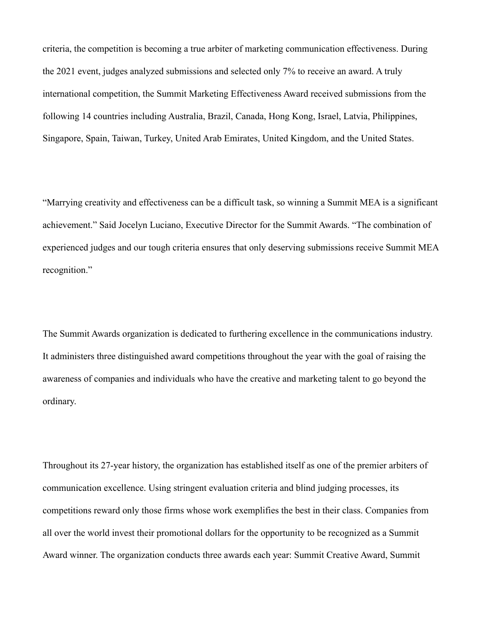criteria, the competition is becoming a true arbiter of marketing communication effectiveness. During the 2021 event, judges analyzed submissions and selected only 7% to receive an award. A truly international competition, the Summit Marketing Effectiveness Award received submissions from the following 14 countries including Australia, Brazil, Canada, Hong Kong, Israel, Latvia, Philippines, Singapore, Spain, Taiwan, Turkey, United Arab Emirates, United Kingdom, and the United States.

"Marrying creativity and effectiveness can be a difficult task, so winning a Summit MEA is a significant achievement." Said Jocelyn Luciano, Executive Director for the Summit Awards. "The combination of experienced judges and our tough criteria ensures that only deserving submissions receive Summit MEA recognition."

The Summit Awards organization is dedicated to furthering excellence in the communications industry. It administers three distinguished award competitions throughout the year with the goal of raising the awareness of companies and individuals who have the creative and marketing talent to go beyond the ordinary.

Throughout its 27-year history, the organization has established itself as one of the premier arbiters of communication excellence. Using stringent evaluation criteria and blind judging processes, its competitions reward only those firms whose work exemplifies the best in their class. Companies from all over the world invest their promotional dollars for the opportunity to be recognized as a Summit Award winner. The organization conducts three awards each year: Summit Creative Award, Summit